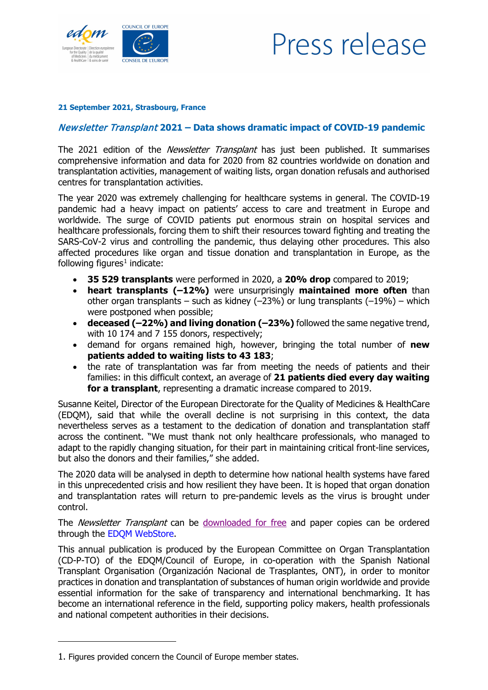

## Press release

## **21 September 2021, Strasbourg, France**

## Newsletter Transplant **2021 – Data shows dramatic impact of COVID-19 pandemic**

The 2021 edition of the *Newsletter Transplant* has just been published. It summarises comprehensive information and data for 2020 from 82 countries worldwide on donation and transplantation activities, management of waiting lists, organ donation refusals and authorised centres for transplantation activities.

The year 2020 was extremely challenging for healthcare systems in general. The COVID-19 pandemic had a heavy impact on patients' access to care and treatment in Europe and worldwide. The surge of COVID patients put enormous strain on hospital services and healthcare professionals, forcing them to shift their resources toward fighting and treating the SARS-CoV-2 virus and controlling the pandemic, thus delaying other procedures. This also affected procedures like organ and tissue donation and transplantation in Europe, as the following figures<sup>[1](#page-0-0)</sup> indicate:

- **35 529 transplants** were performed in 2020, a **20% drop** compared to 2019;
- **heart transplants (–12%)** were unsurprisingly **maintained more often** than other organ transplants – such as kidney  $(-23%)$  or lung transplants  $(-19%)$  – which were postponed when possible;
- **deceased (–22%) and living donation (–23%)** followed the same negative trend, with 10 174 and 7 155 donors, respectively;
- demand for organs remained high, however, bringing the total number of **new patients added to waiting lists to 43 183**;
- the rate of transplantation was far from meeting the needs of patients and their families: in this difficult context, an average of **21 patients died every day waiting for a transplant**, representing a dramatic increase compared to 2019.

Susanne Keitel, Director of the European Directorate for the Quality of Medicines & HealthCare (EDQM), said that while the overall decline is not surprising in this context, the data nevertheless serves as a testament to the dedication of donation and transplantation staff across the continent. "We must thank not only healthcare professionals, who managed to adapt to the rapidly changing situation, for their part in maintaining critical front-line services, but also the donors and their families," she added.

The 2020 data will be analysed in depth to determine how national health systems have fared in this unprecedented crisis and how resilient they have been. It is hoped that organ donation and transplantation rates will return to pre-pandemic levels as the virus is brought under control.

The *Newsletter Transplant* can be [downloaded for free](https://freepub.edqm.eu/publications/PUBSD-87/detail) and paper copies can be ordered through the [EDQM WebStore.](https://store.edqm.eu/index.html)

This annual publication is produced by the European Committee on Organ Transplantation (CD-P-TO) of the EDQM/Council of Europe, in co-operation with the Spanish National Transplant Organisation (Organización Nacional de Trasplantes, ONT), in order to monitor practices in donation and transplantation of substances of human origin worldwide and provide essential information for the sake of transparency and international benchmarking. It has become an international reference in the field, supporting policy makers, health professionals and national competent authorities in their decisions.

-

<span id="page-0-0"></span><sup>1.</sup> Figures provided concern the Council of Europe member states.